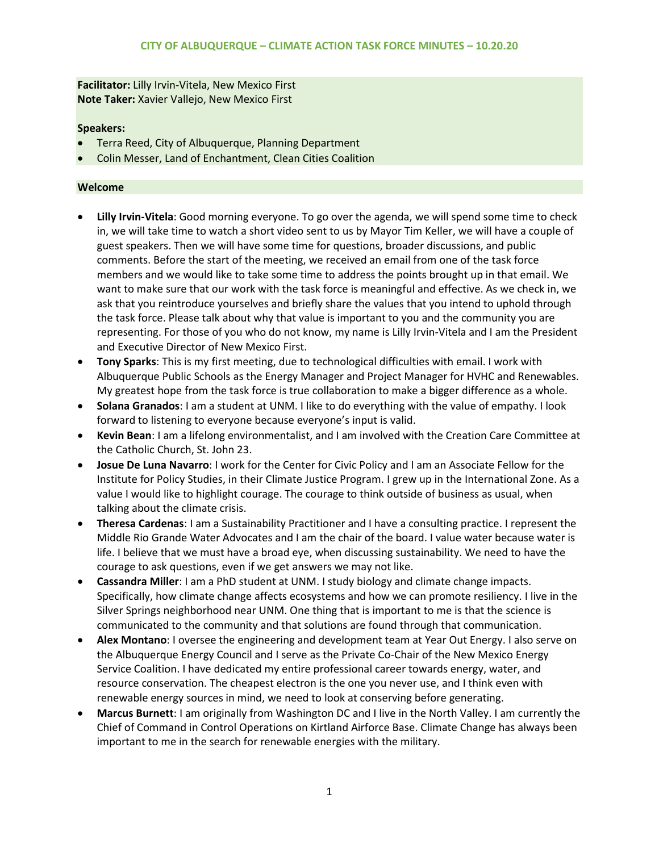**Facilitator:** Lilly Irvin-Vitela, New Mexico First **Note Taker:** Xavier Vallejo, New Mexico First

## **Speakers:**

- Terra Reed, City of Albuquerque, Planning Department
- Colin Messer, Land of Enchantment, Clean Cities Coalition

### **Welcome**

- **Lilly Irvin-Vitela**: Good morning everyone. To go over the agenda, we will spend some time to check in, we will take time to watch a short video sent to us by Mayor Tim Keller, we will have a couple of guest speakers. Then we will have some time for questions, broader discussions, and public comments. Before the start of the meeting, we received an email from one of the task force members and we would like to take some time to address the points brought up in that email. We want to make sure that our work with the task force is meaningful and effective. As we check in, we ask that you reintroduce yourselves and briefly share the values that you intend to uphold through the task force. Please talk about why that value is important to you and the community you are representing. For those of you who do not know, my name is Lilly Irvin-Vitela and I am the President and Executive Director of New Mexico First.
- **Tony Sparks**: This is my first meeting, due to technological difficulties with email. I work with Albuquerque Public Schools as the Energy Manager and Project Manager for HVHC and Renewables. My greatest hope from the task force is true collaboration to make a bigger difference as a whole.
- **Solana Granados**: I am a student at UNM. I like to do everything with the value of empathy. I look forward to listening to everyone because everyone's input is valid.
- **Kevin Bean**: I am a lifelong environmentalist, and I am involved with the Creation Care Committee at the Catholic Church, St. John 23.
- **Josue De Luna Navarro**: I work for the Center for Civic Policy and I am an Associate Fellow for the Institute for Policy Studies, in their Climate Justice Program. I grew up in the International Zone. As a value I would like to highlight courage. The courage to think outside of business as usual, when talking about the climate crisis.
- **Theresa Cardenas**: I am a Sustainability Practitioner and I have a consulting practice. I represent the Middle Rio Grande Water Advocates and I am the chair of the board. I value water because water is life. I believe that we must have a broad eye, when discussing sustainability. We need to have the courage to ask questions, even if we get answers we may not like.
- **Cassandra Miller**: I am a PhD student at UNM. I study biology and climate change impacts. Specifically, how climate change affects ecosystems and how we can promote resiliency. I live in the Silver Springs neighborhood near UNM. One thing that is important to me is that the science is communicated to the community and that solutions are found through that communication.
- **Alex Montano**: I oversee the engineering and development team at Year Out Energy. I also serve on the Albuquerque Energy Council and I serve as the Private Co-Chair of the New Mexico Energy Service Coalition. I have dedicated my entire professional career towards energy, water, and resource conservation. The cheapest electron is the one you never use, and I think even with renewable energy sources in mind, we need to look at conserving before generating.
- **Marcus Burnett**: I am originally from Washington DC and I live in the North Valley. I am currently the Chief of Command in Control Operations on Kirtland Airforce Base. Climate Change has always been important to me in the search for renewable energies with the military.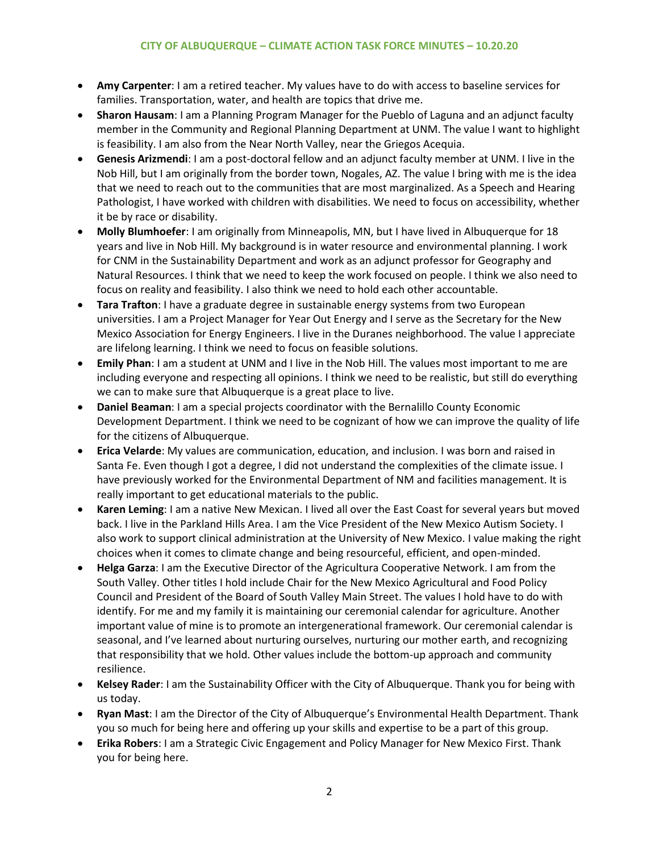- **Amy Carpenter**: I am a retired teacher. My values have to do with access to baseline services for families. Transportation, water, and health are topics that drive me.
- **Sharon Hausam**: I am a Planning Program Manager for the Pueblo of Laguna and an adjunct faculty member in the Community and Regional Planning Department at UNM. The value I want to highlight is feasibility. I am also from the Near North Valley, near the Griegos Acequia.
- **Genesis Arizmendi**: I am a post-doctoral fellow and an adjunct faculty member at UNM. I live in the Nob Hill, but I am originally from the border town, Nogales, AZ. The value I bring with me is the idea that we need to reach out to the communities that are most marginalized. As a Speech and Hearing Pathologist, I have worked with children with disabilities. We need to focus on accessibility, whether it be by race or disability.
- **Molly Blumhoefer**: I am originally from Minneapolis, MN, but I have lived in Albuquerque for 18 years and live in Nob Hill. My background is in water resource and environmental planning. I work for CNM in the Sustainability Department and work as an adjunct professor for Geography and Natural Resources. I think that we need to keep the work focused on people. I think we also need to focus on reality and feasibility. I also think we need to hold each other accountable.
- **Tara Trafton**: I have a graduate degree in sustainable energy systems from two European universities. I am a Project Manager for Year Out Energy and I serve as the Secretary for the New Mexico Association for Energy Engineers. I live in the Duranes neighborhood. The value I appreciate are lifelong learning. I think we need to focus on feasible solutions.
- **Emily Phan**: I am a student at UNM and I live in the Nob Hill. The values most important to me are including everyone and respecting all opinions. I think we need to be realistic, but still do everything we can to make sure that Albuquerque is a great place to live.
- **Daniel Beaman**: I am a special projects coordinator with the Bernalillo County Economic Development Department. I think we need to be cognizant of how we can improve the quality of life for the citizens of Albuquerque.
- **Erica Velarde**: My values are communication, education, and inclusion. I was born and raised in Santa Fe. Even though I got a degree, I did not understand the complexities of the climate issue. I have previously worked for the Environmental Department of NM and facilities management. It is really important to get educational materials to the public.
- **Karen Leming**: I am a native New Mexican. I lived all over the East Coast for several years but moved back. I live in the Parkland Hills Area. I am the Vice President of the New Mexico Autism Society. I also work to support clinical administration at the University of New Mexico. I value making the right choices when it comes to climate change and being resourceful, efficient, and open-minded.
- **Helga Garza**: I am the Executive Director of the Agricultura Cooperative Network. I am from the South Valley. Other titles I hold include Chair for the New Mexico Agricultural and Food Policy Council and President of the Board of South Valley Main Street. The values I hold have to do with identify. For me and my family it is maintaining our ceremonial calendar for agriculture. Another important value of mine is to promote an intergenerational framework. Our ceremonial calendar is seasonal, and I've learned about nurturing ourselves, nurturing our mother earth, and recognizing that responsibility that we hold. Other values include the bottom-up approach and community resilience.
- **Kelsey Rader**: I am the Sustainability Officer with the City of Albuquerque. Thank you for being with us today.
- **Ryan Mast**: I am the Director of the City of Albuquerque's Environmental Health Department. Thank you so much for being here and offering up your skills and expertise to be a part of this group.
- **Erika Robers**: I am a Strategic Civic Engagement and Policy Manager for New Mexico First. Thank you for being here.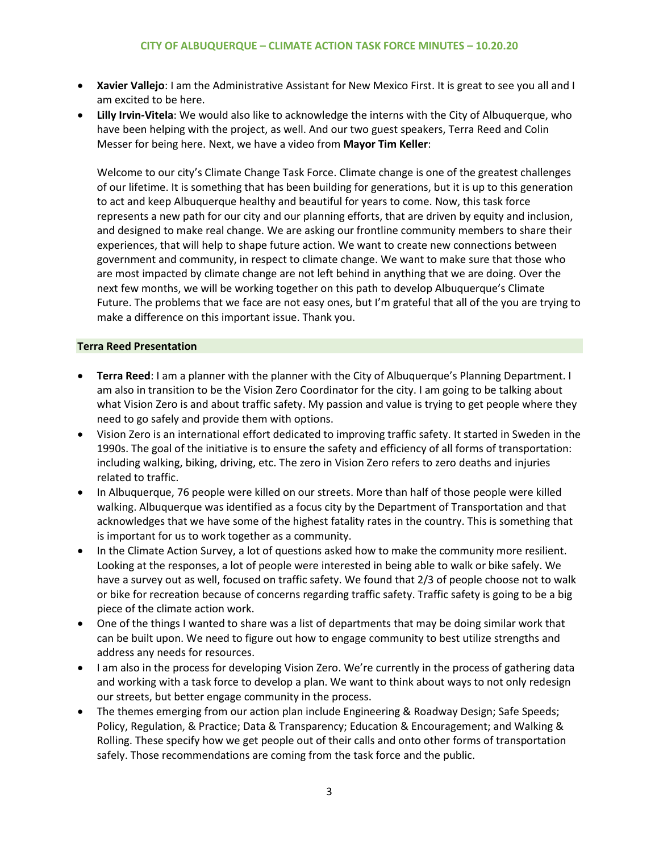- **Xavier Vallejo**: I am the Administrative Assistant for New Mexico First. It is great to see you all and I am excited to be here.
- **Lilly Irvin-Vitela**: We would also like to acknowledge the interns with the City of Albuquerque, who have been helping with the project, as well. And our two guest speakers, Terra Reed and Colin Messer for being here. Next, we have a video from **Mayor Tim Keller**:

Welcome to our city's Climate Change Task Force. Climate change is one of the greatest challenges of our lifetime. It is something that has been building for generations, but it is up to this generation to act and keep Albuquerque healthy and beautiful for years to come. Now, this task force represents a new path for our city and our planning efforts, that are driven by equity and inclusion, and designed to make real change. We are asking our frontline community members to share their experiences, that will help to shape future action. We want to create new connections between government and community, in respect to climate change. We want to make sure that those who are most impacted by climate change are not left behind in anything that we are doing. Over the next few months, we will be working together on this path to develop Albuquerque's Climate Future. The problems that we face are not easy ones, but I'm grateful that all of the you are trying to make a difference on this important issue. Thank you.

## **Terra Reed Presentation**

- **Terra Reed**: I am a planner with the planner with the City of Albuquerque's Planning Department. I am also in transition to be the Vision Zero Coordinator for the city. I am going to be talking about what Vision Zero is and about traffic safety. My passion and value is trying to get people where they need to go safely and provide them with options.
- Vision Zero is an international effort dedicated to improving traffic safety. It started in Sweden in the 1990s. The goal of the initiative is to ensure the safety and efficiency of all forms of transportation: including walking, biking, driving, etc. The zero in Vision Zero refers to zero deaths and injuries related to traffic.
- In Albuquerque, 76 people were killed on our streets. More than half of those people were killed walking. Albuquerque was identified as a focus city by the Department of Transportation and that acknowledges that we have some of the highest fatality rates in the country. This is something that is important for us to work together as a community.
- In the Climate Action Survey, a lot of questions asked how to make the community more resilient. Looking at the responses, a lot of people were interested in being able to walk or bike safely. We have a survey out as well, focused on traffic safety. We found that 2/3 of people choose not to walk or bike for recreation because of concerns regarding traffic safety. Traffic safety is going to be a big piece of the climate action work.
- One of the things I wanted to share was a list of departments that may be doing similar work that can be built upon. We need to figure out how to engage community to best utilize strengths and address any needs for resources.
- I am also in the process for developing Vision Zero. We're currently in the process of gathering data and working with a task force to develop a plan. We want to think about ways to not only redesign our streets, but better engage community in the process.
- The themes emerging from our action plan include Engineering & Roadway Design; Safe Speeds; Policy, Regulation, & Practice; Data & Transparency; Education & Encouragement; and Walking & Rolling. These specify how we get people out of their calls and onto other forms of transportation safely. Those recommendations are coming from the task force and the public.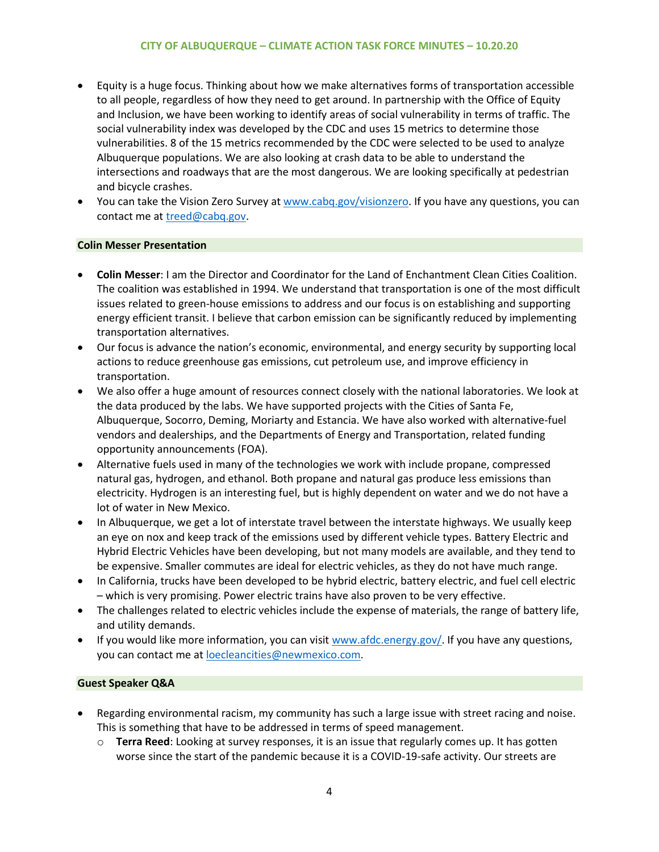- Equity is a huge focus. Thinking about how we make alternatives forms of transportation accessible to all people, regardless of how they need to get around. In partnership with the Office of Equity and Inclusion, we have been working to identify areas of social vulnerability in terms of traffic. The social vulnerability index was developed by the CDC and uses 15 metrics to determine those vulnerabilities. 8 of the 15 metrics recommended by the CDC were selected to be used to analyze Albuquerque populations. We are also looking at crash data to be able to understand the intersections and roadways that are the most dangerous. We are looking specifically at pedestrian and bicycle crashes.
- You can take the Vision Zero Survey a[t www.cabq.gov/visionzero.](http://www.cabq.gov/visionzero) If you have any questions, you can contact me at [treed@cabq.gov.](mailto:treed@cabq.gov)

## **Colin Messer Presentation**

- **Colin Messer**: I am the Director and Coordinator for the Land of Enchantment Clean Cities Coalition. The coalition was established in 1994. We understand that transportation is one of the most difficult issues related to green-house emissions to address and our focus is on establishing and supporting energy efficient transit. I believe that carbon emission can be significantly reduced by implementing transportation alternatives.
- Our focus is advance the nation's economic, environmental, and energy security by supporting local actions to reduce greenhouse gas emissions, cut petroleum use, and improve efficiency in transportation.
- We also offer a huge amount of resources connect closely with the national laboratories. We look at the data produced by the labs. We have supported projects with the Cities of Santa Fe, Albuquerque, Socorro, Deming, Moriarty and Estancia. We have also worked with alternative-fuel vendors and dealerships, and the Departments of Energy and Transportation, related funding opportunity announcements (FOA).
- Alternative fuels used in many of the technologies we work with include propane, compressed natural gas, hydrogen, and ethanol. Both propane and natural gas produce less emissions than electricity. Hydrogen is an interesting fuel, but is highly dependent on water and we do not have a lot of water in New Mexico.
- In Albuquerque, we get a lot of interstate travel between the interstate highways. We usually keep an eye on nox and keep track of the emissions used by different vehicle types. Battery Electric and Hybrid Electric Vehicles have been developing, but not many models are available, and they tend to be expensive. Smaller commutes are ideal for electric vehicles, as they do not have much range.
- In California, trucks have been developed to be hybrid electric, battery electric, and fuel cell electric – which is very promising. Power electric trains have also proven to be very effective.
- The challenges related to electric vehicles include the expense of materials, the range of battery life, and utility demands.
- If you would like more information, you can visit [www.afdc.energy.gov/.](http://www.afdc.energy.gov/) If you have any questions, you can contact me a[t loecleancities@newmexico.com.](mailto:loecleancities@newmexico.com)

#### **Guest Speaker Q&A**

- Regarding environmental racism, my community has such a large issue with street racing and noise. This is something that have to be addressed in terms of speed management.
	- o **Terra Reed**: Looking at survey responses, it is an issue that regularly comes up. It has gotten worse since the start of the pandemic because it is a COVID-19-safe activity. Our streets are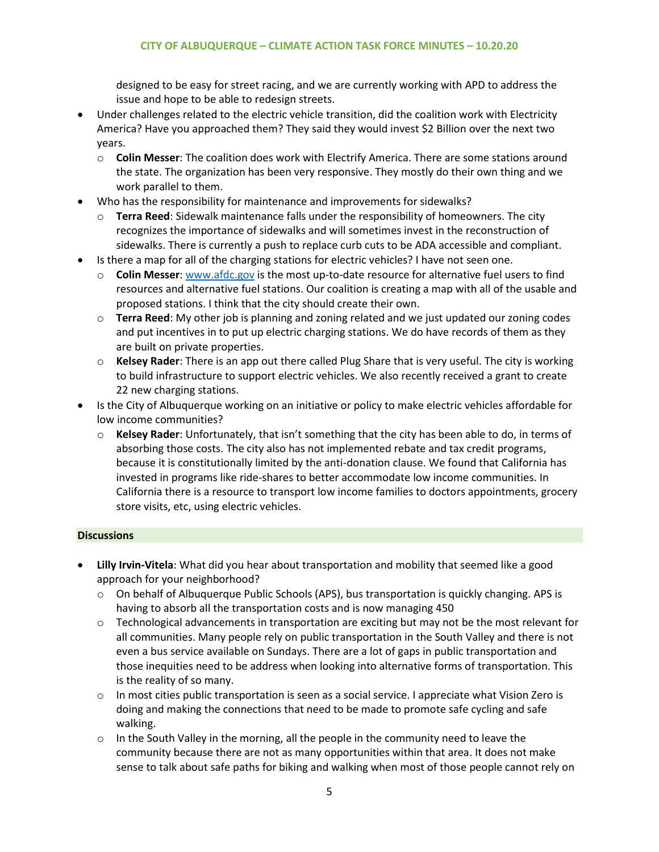designed to be easy for street racing, and we are currently working with APD to address the issue and hope to be able to redesign streets.

- Under challenges related to the electric vehicle transition, did the coalition work with Electricity America? Have you approached them? They said they would invest \$2 Billion over the next two years.
	- o **Colin Messer**: The coalition does work with Electrify America. There are some stations around the state. The organization has been very responsive. They mostly do their own thing and we work parallel to them.
- Who has the responsibility for maintenance and improvements for sidewalks?
	- o **Terra Reed**: Sidewalk maintenance falls under the responsibility of homeowners. The city recognizes the importance of sidewalks and will sometimes invest in the reconstruction of sidewalks. There is currently a push to replace curb cuts to be ADA accessible and compliant.
- Is there a map for all of the charging stations for electric vehicles? I have not seen one.
	- o **Colin Messer**: [www.afdc.gov](http://www.afdc.gov/) is the most up-to-date resource for alternative fuel users to find resources and alternative fuel stations. Our coalition is creating a map with all of the usable and proposed stations. I think that the city should create their own.
	- o **Terra Reed**: My other job is planning and zoning related and we just updated our zoning codes and put incentives in to put up electric charging stations. We do have records of them as they are built on private properties.
	- o **Kelsey Rader**: There is an app out there called Plug Share that is very useful. The city is working to build infrastructure to support electric vehicles. We also recently received a grant to create 22 new charging stations.
- Is the City of Albuquerque working on an initiative or policy to make electric vehicles affordable for low income communities?
	- o **Kelsey Rader**: Unfortunately, that isn't something that the city has been able to do, in terms of absorbing those costs. The city also has not implemented rebate and tax credit programs, because it is constitutionally limited by the anti-donation clause. We found that California has invested in programs like ride-shares to better accommodate low income communities. In California there is a resource to transport low income families to doctors appointments, grocery store visits, etc, using electric vehicles.

## **Discussions**

- **Lilly Irvin-Vitela**: What did you hear about transportation and mobility that seemed like a good approach for your neighborhood?
	- o On behalf of Albuquerque Public Schools (APS), bus transportation is quickly changing. APS is having to absorb all the transportation costs and is now managing 450
	- $\circ$  Technological advancements in transportation are exciting but may not be the most relevant for all communities. Many people rely on public transportation in the South Valley and there is not even a bus service available on Sundays. There are a lot of gaps in public transportation and those inequities need to be address when looking into alternative forms of transportation. This is the reality of so many.
	- $\circ$  In most cities public transportation is seen as a social service. I appreciate what Vision Zero is doing and making the connections that need to be made to promote safe cycling and safe walking.
	- $\circ$  In the South Valley in the morning, all the people in the community need to leave the community because there are not as many opportunities within that area. It does not make sense to talk about safe paths for biking and walking when most of those people cannot rely on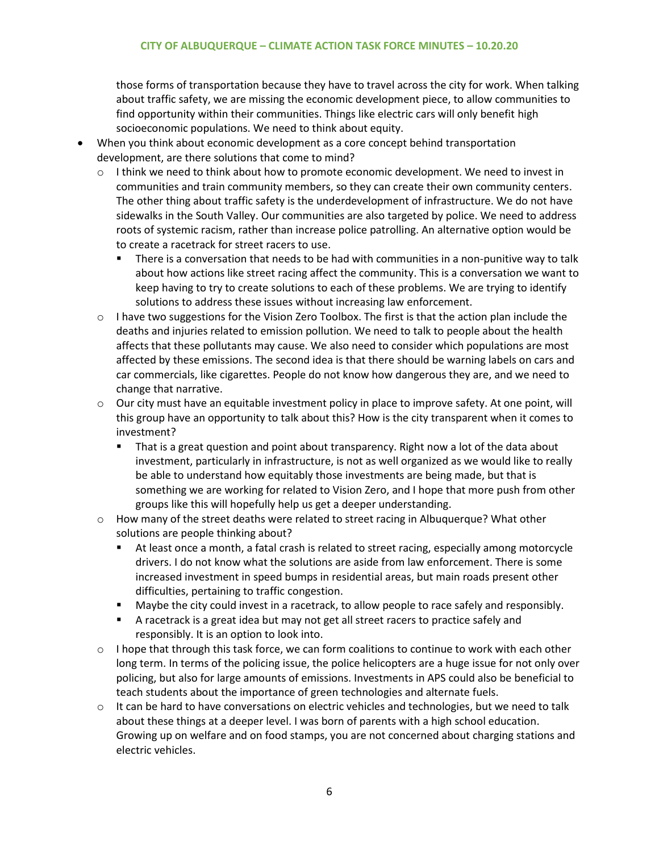those forms of transportation because they have to travel across the city for work. When talking about traffic safety, we are missing the economic development piece, to allow communities to find opportunity within their communities. Things like electric cars will only benefit high socioeconomic populations. We need to think about equity.

- When you think about economic development as a core concept behind transportation development, are there solutions that come to mind?
	- o I think we need to think about how to promote economic development. We need to invest in communities and train community members, so they can create their own community centers. The other thing about traffic safety is the underdevelopment of infrastructure. We do not have sidewalks in the South Valley. Our communities are also targeted by police. We need to address roots of systemic racism, rather than increase police patrolling. An alternative option would be to create a racetrack for street racers to use.
		- There is a conversation that needs to be had with communities in a non-punitive way to talk about how actions like street racing affect the community. This is a conversation we want to keep having to try to create solutions to each of these problems. We are trying to identify solutions to address these issues without increasing law enforcement.
	- $\circ$  I have two suggestions for the Vision Zero Toolbox. The first is that the action plan include the deaths and injuries related to emission pollution. We need to talk to people about the health affects that these pollutants may cause. We also need to consider which populations are most affected by these emissions. The second idea is that there should be warning labels on cars and car commercials, like cigarettes. People do not know how dangerous they are, and we need to change that narrative.
	- $\circ$  Our city must have an equitable investment policy in place to improve safety. At one point, will this group have an opportunity to talk about this? How is the city transparent when it comes to investment?
		- That is a great question and point about transparency. Right now a lot of the data about investment, particularly in infrastructure, is not as well organized as we would like to really be able to understand how equitably those investments are being made, but that is something we are working for related to Vision Zero, and I hope that more push from other groups like this will hopefully help us get a deeper understanding.
	- $\circ$  How many of the street deaths were related to street racing in Albuquerque? What other solutions are people thinking about?
		- At least once a month, a fatal crash is related to street racing, especially among motorcycle drivers. I do not know what the solutions are aside from law enforcement. There is some increased investment in speed bumps in residential areas, but main roads present other difficulties, pertaining to traffic congestion.
		- Maybe the city could invest in a racetrack, to allow people to race safely and responsibly.
		- **EXECT** A racetrack is a great idea but may not get all street racers to practice safely and responsibly. It is an option to look into.
	- o I hope that through this task force, we can form coalitions to continue to work with each other long term. In terms of the policing issue, the police helicopters are a huge issue for not only over policing, but also for large amounts of emissions. Investments in APS could also be beneficial to teach students about the importance of green technologies and alternate fuels.
	- $\circ$  It can be hard to have conversations on electric vehicles and technologies, but we need to talk about these things at a deeper level. I was born of parents with a high school education. Growing up on welfare and on food stamps, you are not concerned about charging stations and electric vehicles.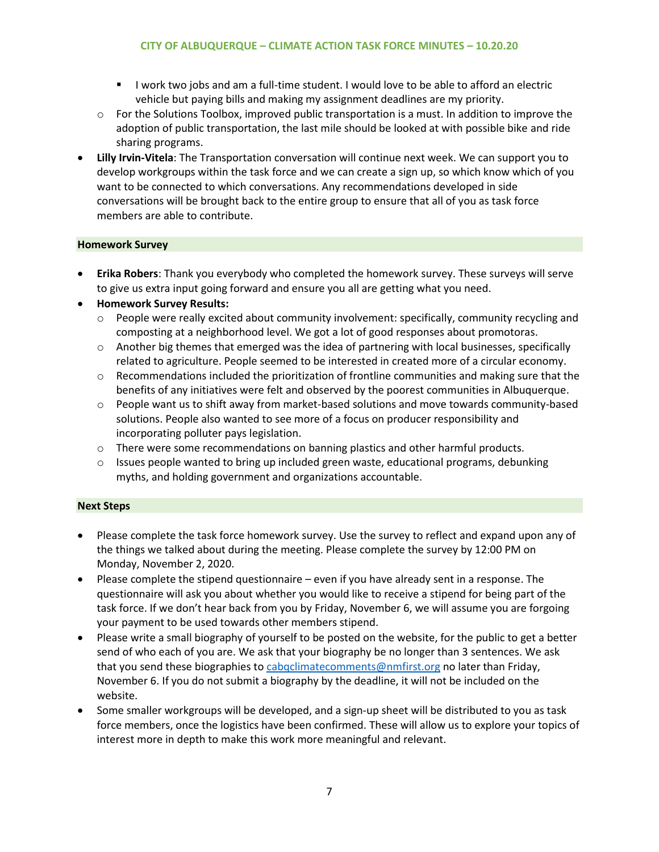- I work two jobs and am a full-time student. I would love to be able to afford an electric vehicle but paying bills and making my assignment deadlines are my priority.
- $\circ$  For the Solutions Toolbox, improved public transportation is a must. In addition to improve the adoption of public transportation, the last mile should be looked at with possible bike and ride sharing programs.
- **Lilly Irvin-Vitela**: The Transportation conversation will continue next week. We can support you to develop workgroups within the task force and we can create a sign up, so which know which of you want to be connected to which conversations. Any recommendations developed in side conversations will be brought back to the entire group to ensure that all of you as task force members are able to contribute.

# **Homework Survey**

- **Erika Robers**: Thank you everybody who completed the homework survey. These surveys will serve to give us extra input going forward and ensure you all are getting what you need.
- **Homework Survey Results:**
	- $\circ$  People were really excited about community involvement: specifically, community recycling and composting at a neighborhood level. We got a lot of good responses about promotoras.
	- $\circ$  Another big themes that emerged was the idea of partnering with local businesses, specifically related to agriculture. People seemed to be interested in created more of a circular economy.
	- $\circ$  Recommendations included the prioritization of frontline communities and making sure that the benefits of any initiatives were felt and observed by the poorest communities in Albuquerque.
	- $\circ$  People want us to shift away from market-based solutions and move towards community-based solutions. People also wanted to see more of a focus on producer responsibility and incorporating polluter pays legislation.
	- $\circ$  There were some recommendations on banning plastics and other harmful products.
	- $\circ$  Issues people wanted to bring up included green waste, educational programs, debunking myths, and holding government and organizations accountable.

## **Next Steps**

- Please complete the task force homework survey. Use the survey to reflect and expand upon any of the things we talked about during the meeting. Please complete the survey by 12:00 PM on Monday, November 2, 2020.
- Please complete the stipend questionnaire even if you have already sent in a response. The questionnaire will ask you about whether you would like to receive a stipend for being part of the task force. If we don't hear back from you by Friday, November 6, we will assume you are forgoing your payment to be used towards other members stipend.
- Please write a small biography of yourself to be posted on the website, for the public to get a better send of who each of you are. We ask that your biography be no longer than 3 sentences. We ask that you send these biographies t[o cabqclimatecomments@nmfirst.org](mailto:cabqclimatecomments@nmfirst.org) no later than Friday, November 6. If you do not submit a biography by the deadline, it will not be included on the website.
- Some smaller workgroups will be developed, and a sign-up sheet will be distributed to you as task force members, once the logistics have been confirmed. These will allow us to explore your topics of interest more in depth to make this work more meaningful and relevant.